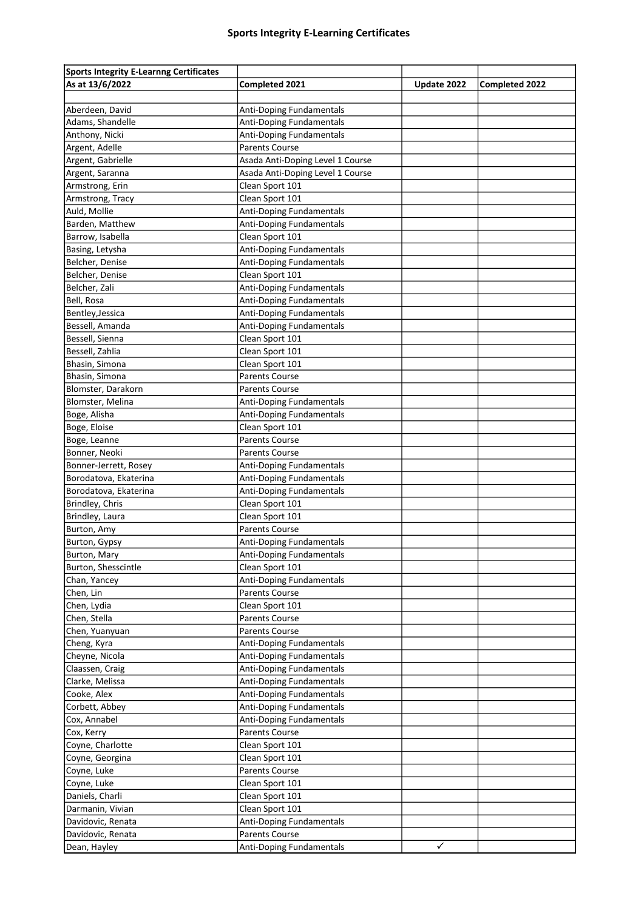| <b>Sports Integrity E-Learnng Certificates</b> |                                  |              |                       |
|------------------------------------------------|----------------------------------|--------------|-----------------------|
| As at 13/6/2022                                | Completed 2021                   | Update 2022  | <b>Completed 2022</b> |
|                                                |                                  |              |                       |
| Aberdeen, David                                | Anti-Doping Fundamentals         |              |                       |
| Adams, Shandelle                               | Anti-Doping Fundamentals         |              |                       |
| Anthony, Nicki                                 | Anti-Doping Fundamentals         |              |                       |
| Argent, Adelle                                 | <b>Parents Course</b>            |              |                       |
| Argent, Gabrielle                              | Asada Anti-Doping Level 1 Course |              |                       |
| Argent, Saranna                                | Asada Anti-Doping Level 1 Course |              |                       |
| Armstrong, Erin                                | Clean Sport 101                  |              |                       |
| Armstrong, Tracy                               | Clean Sport 101                  |              |                       |
| Auld, Mollie                                   | Anti-Doping Fundamentals         |              |                       |
| Barden, Matthew                                | Anti-Doping Fundamentals         |              |                       |
| Barrow, Isabella                               | Clean Sport 101                  |              |                       |
| Basing, Letysha                                | Anti-Doping Fundamentals         |              |                       |
| Belcher, Denise                                | Anti-Doping Fundamentals         |              |                       |
| Belcher, Denise                                | Clean Sport 101                  |              |                       |
| Belcher, Zali                                  | <b>Anti-Doping Fundamentals</b>  |              |                       |
| Bell, Rosa                                     | Anti-Doping Fundamentals         |              |                       |
| Bentley, Jessica                               | <b>Anti-Doping Fundamentals</b>  |              |                       |
| Bessell, Amanda                                | Anti-Doping Fundamentals         |              |                       |
| Bessell, Sienna                                | Clean Sport 101                  |              |                       |
| Bessell, Zahlia                                | Clean Sport 101                  |              |                       |
| Bhasin, Simona                                 | Clean Sport 101                  |              |                       |
| Bhasin, Simona                                 | <b>Parents Course</b>            |              |                       |
| Blomster, Darakorn                             | <b>Parents Course</b>            |              |                       |
| Blomster, Melina                               | Anti-Doping Fundamentals         |              |                       |
| Boge, Alisha                                   | <b>Anti-Doping Fundamentals</b>  |              |                       |
| Boge, Eloise                                   | Clean Sport 101                  |              |                       |
| Boge, Leanne                                   | <b>Parents Course</b>            |              |                       |
| Bonner, Neoki                                  | Parents Course                   |              |                       |
| Bonner-Jerrett, Rosey                          | Anti-Doping Fundamentals         |              |                       |
| Borodatova, Ekaterina                          | Anti-Doping Fundamentals         |              |                       |
| Borodatova, Ekaterina                          | Anti-Doping Fundamentals         |              |                       |
| Brindley, Chris                                | Clean Sport 101                  |              |                       |
| Brindley, Laura                                | Clean Sport 101                  |              |                       |
| Burton, Amy                                    | <b>Parents Course</b>            |              |                       |
| Burton, Gypsy                                  | Anti-Doping Fundamentals         |              |                       |
| Burton, Mary                                   | Anti-Doping Fundamentals         |              |                       |
| Burton, Shesscintle                            | Clean Sport 101                  |              |                       |
| Chan, Yancey                                   | Anti-Doping Fundamentals         |              |                       |
| Chen, Lin                                      | <b>Parents Course</b>            |              |                       |
| Chen, Lydia                                    | Clean Sport 101                  |              |                       |
| Chen, Stella                                   | Parents Course                   |              |                       |
| Chen, Yuanyuan                                 | Parents Course                   |              |                       |
| Cheng, Kyra                                    | Anti-Doping Fundamentals         |              |                       |
| Cheyne, Nicola                                 | <b>Anti-Doping Fundamentals</b>  |              |                       |
| Claassen, Craig                                | Anti-Doping Fundamentals         |              |                       |
| Clarke, Melissa                                | <b>Anti-Doping Fundamentals</b>  |              |                       |
| Cooke, Alex                                    | <b>Anti-Doping Fundamentals</b>  |              |                       |
| Corbett, Abbey                                 | Anti-Doping Fundamentals         |              |                       |
| Cox, Annabel                                   | Anti-Doping Fundamentals         |              |                       |
| Cox, Kerry                                     | Parents Course                   |              |                       |
| Coyne, Charlotte                               | Clean Sport 101                  |              |                       |
| Coyne, Georgina                                | Clean Sport 101                  |              |                       |
| Coyne, Luke                                    | Parents Course                   |              |                       |
| Coyne, Luke                                    | Clean Sport 101                  |              |                       |
| Daniels, Charli                                | Clean Sport 101                  |              |                       |
| Darmanin, Vivian                               | Clean Sport 101                  |              |                       |
| Davidovic, Renata                              | Anti-Doping Fundamentals         |              |                       |
| Davidovic, Renata                              | <b>Parents Course</b>            |              |                       |
| Dean, Hayley                                   | Anti-Doping Fundamentals         | $\checkmark$ |                       |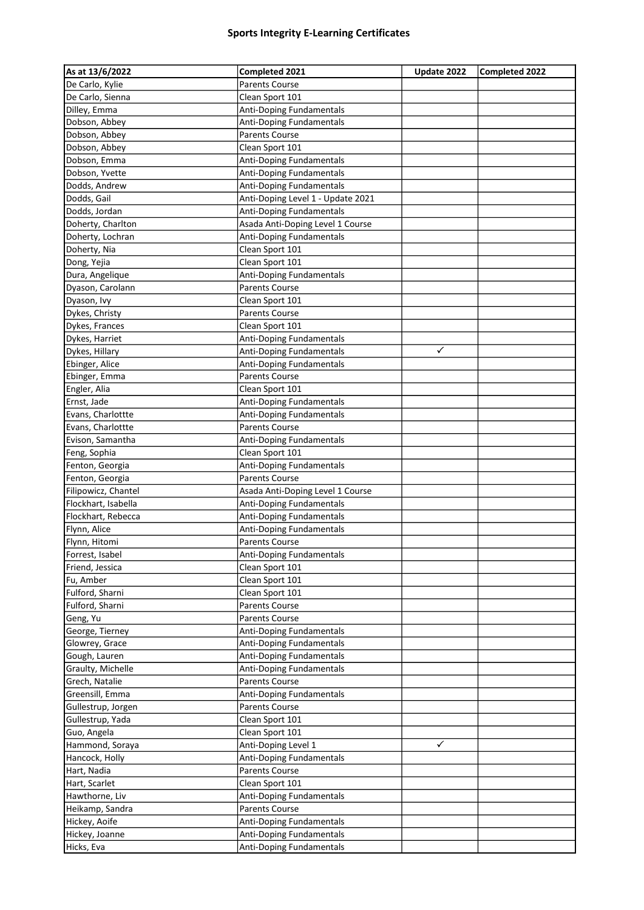| As at 13/6/2022     | Completed 2021                    | Update 2022 | Completed 2022 |
|---------------------|-----------------------------------|-------------|----------------|
| De Carlo, Kylie     | <b>Parents Course</b>             |             |                |
| De Carlo, Sienna    | Clean Sport 101                   |             |                |
| Dilley, Emma        | Anti-Doping Fundamentals          |             |                |
| Dobson, Abbey       | Anti-Doping Fundamentals          |             |                |
| Dobson, Abbey       | <b>Parents Course</b>             |             |                |
| Dobson, Abbey       | Clean Sport 101                   |             |                |
| Dobson, Emma        | Anti-Doping Fundamentals          |             |                |
| Dobson, Yvette      | Anti-Doping Fundamentals          |             |                |
| Dodds, Andrew       | Anti-Doping Fundamentals          |             |                |
| Dodds, Gail         | Anti-Doping Level 1 - Update 2021 |             |                |
| Dodds, Jordan       | Anti-Doping Fundamentals          |             |                |
| Doherty, Charlton   | Asada Anti-Doping Level 1 Course  |             |                |
| Doherty, Lochran    | Anti-Doping Fundamentals          |             |                |
| Doherty, Nia        | Clean Sport 101                   |             |                |
| Dong, Yejia         | Clean Sport 101                   |             |                |
| Dura, Angelique     | Anti-Doping Fundamentals          |             |                |
| Dyason, Carolann    | <b>Parents Course</b>             |             |                |
| Dyason, Ivy         | Clean Sport 101                   |             |                |
| Dykes, Christy      | <b>Parents Course</b>             |             |                |
| Dykes, Frances      | Clean Sport 101                   |             |                |
| Dykes, Harriet      | Anti-Doping Fundamentals          |             |                |
| Dykes, Hillary      | Anti-Doping Fundamentals          | ✓           |                |
| Ebinger, Alice      | Anti-Doping Fundamentals          |             |                |
| Ebinger, Emma       | <b>Parents Course</b>             |             |                |
| Engler, Alia        | Clean Sport 101                   |             |                |
| Ernst, Jade         | Anti-Doping Fundamentals          |             |                |
| Evans, Charlottte   | Anti-Doping Fundamentals          |             |                |
| Evans, Charlottte   | <b>Parents Course</b>             |             |                |
| Evison, Samantha    | Anti-Doping Fundamentals          |             |                |
| Feng, Sophia        | Clean Sport 101                   |             |                |
| Fenton, Georgia     | Anti-Doping Fundamentals          |             |                |
| Fenton, Georgia     | <b>Parents Course</b>             |             |                |
| Filipowicz, Chantel | Asada Anti-Doping Level 1 Course  |             |                |
| Flockhart, Isabella | Anti-Doping Fundamentals          |             |                |
| Flockhart, Rebecca  | Anti-Doping Fundamentals          |             |                |
| Flynn, Alice        | Anti-Doping Fundamentals          |             |                |
| Flynn, Hitomi       | <b>Parents Course</b>             |             |                |
| Forrest, Isabel     | Anti-Doping Fundamentals          |             |                |
| Friend, Jessica     | Clean Sport 101                   |             |                |
| Fu, Amber           | Clean Sport 101                   |             |                |
| Fulford, Sharni     | Clean Sport 101                   |             |                |
| Fulford, Sharni     | Parents Course                    |             |                |
| Geng, Yu            | <b>Parents Course</b>             |             |                |
| George, Tierney     | Anti-Doping Fundamentals          |             |                |
| Glowrey, Grace      | Anti-Doping Fundamentals          |             |                |
| Gough, Lauren       | Anti-Doping Fundamentals          |             |                |
| Graulty, Michelle   | Anti-Doping Fundamentals          |             |                |
| Grech, Natalie      | Parents Course                    |             |                |
| Greensill, Emma     | Anti-Doping Fundamentals          |             |                |
| Gullestrup, Jorgen  | Parents Course                    |             |                |
| Gullestrup, Yada    | Clean Sport 101                   |             |                |
| Guo, Angela         | Clean Sport 101                   |             |                |
| Hammond, Soraya     | Anti-Doping Level 1               | ✓           |                |
| Hancock, Holly      | Anti-Doping Fundamentals          |             |                |
| Hart, Nadia         | Parents Course                    |             |                |
| Hart, Scarlet       | Clean Sport 101                   |             |                |
| Hawthorne, Liv      | Anti-Doping Fundamentals          |             |                |
| Heikamp, Sandra     | Parents Course                    |             |                |
| Hickey, Aoife       | Anti-Doping Fundamentals          |             |                |
| Hickey, Joanne      | Anti-Doping Fundamentals          |             |                |
| Hicks, Eva          | Anti-Doping Fundamentals          |             |                |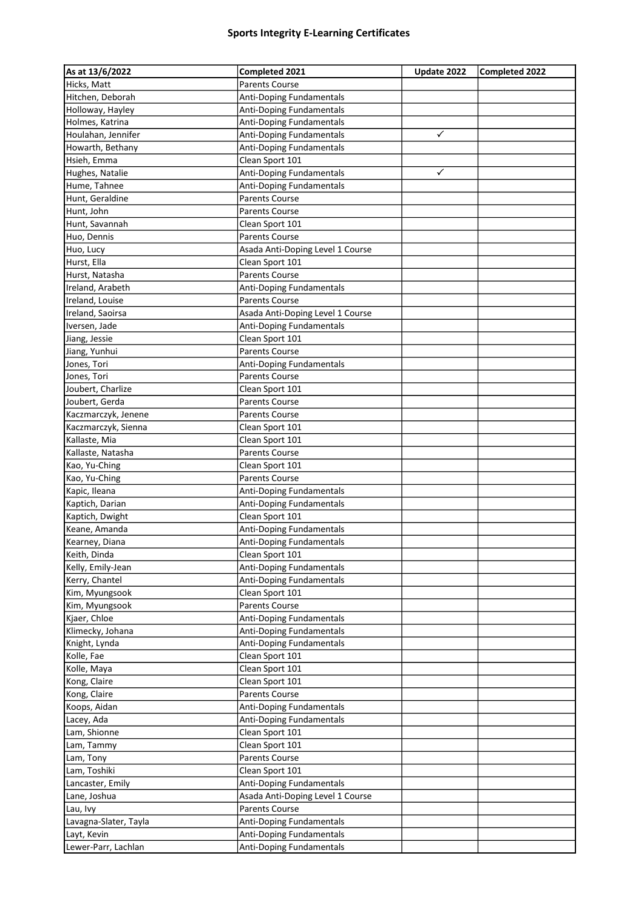| As at 13/6/2022       | Completed 2021                             | Update 2022             | Completed 2022 |
|-----------------------|--------------------------------------------|-------------------------|----------------|
| Hicks, Matt           | <b>Parents Course</b>                      |                         |                |
| Hitchen, Deborah      | <b>Anti-Doping Fundamentals</b>            |                         |                |
| Holloway, Hayley      | Anti-Doping Fundamentals                   |                         |                |
| Holmes, Katrina       | <b>Anti-Doping Fundamentals</b>            |                         |                |
| Houlahan, Jennifer    | Anti-Doping Fundamentals                   | ✓                       |                |
| Howarth, Bethany      | Anti-Doping Fundamentals                   |                         |                |
| Hsieh, Emma           | Clean Sport 101                            |                         |                |
| Hughes, Natalie       | Anti-Doping Fundamentals                   | $\overline{\checkmark}$ |                |
| Hume, Tahnee          | Anti-Doping Fundamentals                   |                         |                |
| Hunt, Geraldine       | <b>Parents Course</b>                      |                         |                |
| Hunt, John            | <b>Parents Course</b>                      |                         |                |
| Hunt, Savannah        | Clean Sport 101                            |                         |                |
| Huo, Dennis           | <b>Parents Course</b>                      |                         |                |
| Huo, Lucy             | Asada Anti-Doping Level 1 Course           |                         |                |
| Hurst, Ella           | Clean Sport 101                            |                         |                |
| Hurst, Natasha        | <b>Parents Course</b>                      |                         |                |
| Ireland, Arabeth      | Anti-Doping Fundamentals                   |                         |                |
| Ireland, Louise       | Parents Course                             |                         |                |
| Ireland, Saoirsa      | Asada Anti-Doping Level 1 Course           |                         |                |
| Iversen, Jade         | Anti-Doping Fundamentals                   |                         |                |
| Jiang, Jessie         | Clean Sport 101                            |                         |                |
| Jiang, Yunhui         | <b>Parents Course</b>                      |                         |                |
| Jones, Tori           | Anti-Doping Fundamentals                   |                         |                |
| Jones, Tori           | Parents Course                             |                         |                |
| Joubert, Charlize     | Clean Sport 101                            |                         |                |
| Joubert, Gerda        | <b>Parents Course</b>                      |                         |                |
| Kaczmarczyk, Jenene   | <b>Parents Course</b>                      |                         |                |
| Kaczmarczyk, Sienna   | Clean Sport 101                            |                         |                |
| Kallaste, Mia         | Clean Sport 101                            |                         |                |
| Kallaste, Natasha     | Parents Course                             |                         |                |
| Kao, Yu-Ching         | Clean Sport 101                            |                         |                |
| Kao, Yu-Ching         | <b>Parents Course</b>                      |                         |                |
| Kapic, Ileana         | Anti-Doping Fundamentals                   |                         |                |
| Kaptich, Darian       | Anti-Doping Fundamentals                   |                         |                |
| Kaptich, Dwight       | Clean Sport 101                            |                         |                |
| Keane, Amanda         | Anti-Doping Fundamentals                   |                         |                |
| Kearney, Diana        | <b>Anti-Doping Fundamentals</b>            |                         |                |
| Keith, Dinda          | Clean Sport 101                            |                         |                |
| Kelly, Emily-Jean     | Anti-Doping Fundamentals                   |                         |                |
| Kerry, Chantel        | Anti-Doping Fundamentals                   |                         |                |
| Kim, Myungsook        | Clean Sport 101                            |                         |                |
| Kim, Myungsook        | Parents Course                             |                         |                |
| Kjaer, Chloe          | Anti-Doping Fundamentals                   |                         |                |
| Klimecky, Johana      | Anti-Doping Fundamentals                   |                         |                |
| Knight, Lynda         | Anti-Doping Fundamentals                   |                         |                |
| Kolle, Fae            |                                            |                         |                |
|                       | Clean Sport 101                            |                         |                |
| Kolle, Maya           | Clean Sport 101                            |                         |                |
| Kong, Claire          | Clean Sport 101                            |                         |                |
| Kong, Claire          | Parents Course<br>Anti-Doping Fundamentals |                         |                |
| Koops, Aidan          |                                            |                         |                |
| Lacey, Ada            | Anti-Doping Fundamentals                   |                         |                |
| Lam, Shionne          | Clean Sport 101                            |                         |                |
| Lam, Tammy            | Clean Sport 101                            |                         |                |
| Lam, Tony             | Parents Course                             |                         |                |
| Lam, Toshiki          | Clean Sport 101                            |                         |                |
| Lancaster, Emily      | Anti-Doping Fundamentals                   |                         |                |
| Lane, Joshua          | Asada Anti-Doping Level 1 Course           |                         |                |
| Lau, Ivy              | Parents Course                             |                         |                |
| Lavagna-Slater, Tayla | Anti-Doping Fundamentals                   |                         |                |
| Layt, Kevin           | Anti-Doping Fundamentals                   |                         |                |
| Lewer-Parr, Lachlan   | Anti-Doping Fundamentals                   |                         |                |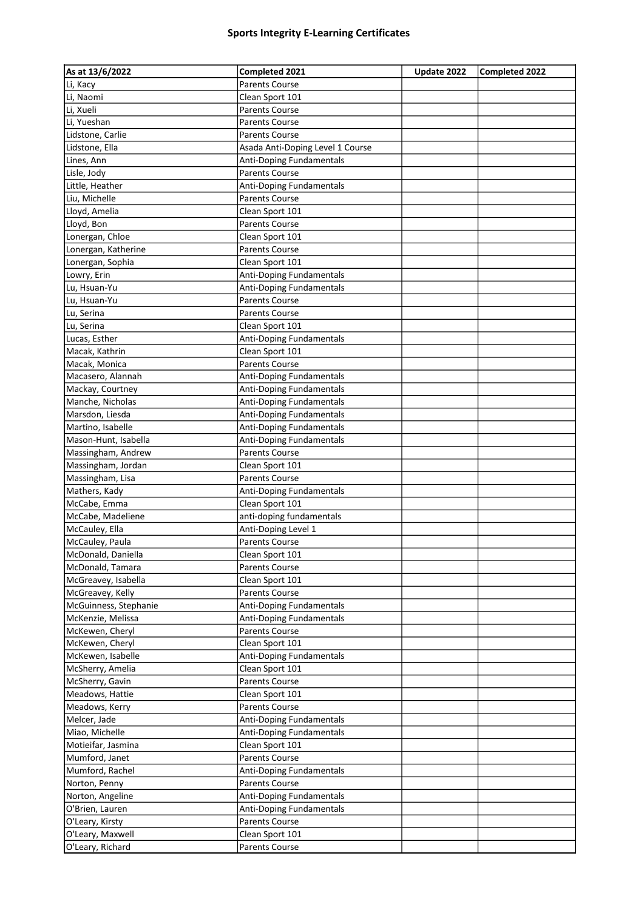| As at 13/6/2022       | Completed 2021                             | Update 2022 | <b>Completed 2022</b> |
|-----------------------|--------------------------------------------|-------------|-----------------------|
| Li, Kacy              | <b>Parents Course</b>                      |             |                       |
| Li, Naomi             | Clean Sport 101                            |             |                       |
| Li, Xueli             | Parents Course                             |             |                       |
| Li, Yueshan           | <b>Parents Course</b>                      |             |                       |
| Lidstone, Carlie      | <b>Parents Course</b>                      |             |                       |
| Lidstone, Ella        | Asada Anti-Doping Level 1 Course           |             |                       |
| Lines, Ann            | Anti-Doping Fundamentals                   |             |                       |
| Lisle, Jody           | <b>Parents Course</b>                      |             |                       |
| Little, Heather       | Anti-Doping Fundamentals                   |             |                       |
| Liu, Michelle         | Parents Course                             |             |                       |
| Lloyd, Amelia         | Clean Sport 101                            |             |                       |
| Lloyd, Bon            | <b>Parents Course</b>                      |             |                       |
| Lonergan, Chloe       | Clean Sport 101                            |             |                       |
| Lonergan, Katherine   | Parents Course                             |             |                       |
| Lonergan, Sophia      | Clean Sport 101                            |             |                       |
| Lowry, Erin           | Anti-Doping Fundamentals                   |             |                       |
| Lu, Hsuan-Yu          | Anti-Doping Fundamentals                   |             |                       |
| Lu, Hsuan-Yu          | <b>Parents Course</b>                      |             |                       |
| Lu, Serina            | <b>Parents Course</b>                      |             |                       |
| Lu, Serina            | Clean Sport 101                            |             |                       |
| Lucas, Esther         | Anti-Doping Fundamentals                   |             |                       |
| Macak, Kathrin        | Clean Sport 101                            |             |                       |
| Macak, Monica         | <b>Parents Course</b>                      |             |                       |
| Macasero, Alannah     | Anti-Doping Fundamentals                   |             |                       |
| Mackay, Courtney      | Anti-Doping Fundamentals                   |             |                       |
| Manche, Nicholas      | Anti-Doping Fundamentals                   |             |                       |
| Marsdon, Liesda       | Anti-Doping Fundamentals                   |             |                       |
| Martino, Isabelle     | Anti-Doping Fundamentals                   |             |                       |
| Mason-Hunt, Isabella  | Anti-Doping Fundamentals                   |             |                       |
| Massingham, Andrew    | <b>Parents Course</b>                      |             |                       |
| Massingham, Jordan    | Clean Sport 101                            |             |                       |
| Massingham, Lisa      | <b>Parents Course</b>                      |             |                       |
| Mathers, Kady         | Anti-Doping Fundamentals                   |             |                       |
| McCabe, Emma          | Clean Sport 101                            |             |                       |
| McCabe, Madeliene     | anti-doping fundamentals                   |             |                       |
| McCauley, Ella        | Anti-Doping Level 1                        |             |                       |
| McCauley, Paula       | <b>Parents Course</b>                      |             |                       |
| McDonald, Daniella    | Clean Sport 101                            |             |                       |
| McDonald, Tamara      | <b>Parents Course</b>                      |             |                       |
| McGreavey, Isabella   | Clean Sport 101                            |             |                       |
| McGreavey, Kelly      | Parents Course                             |             |                       |
| McGuinness, Stephanie | Anti-Doping Fundamentals                   |             |                       |
| McKenzie, Melissa     | Anti-Doping Fundamentals                   |             |                       |
| McKewen, Cheryl       | <b>Parents Course</b>                      |             |                       |
| McKewen, Cheryl       | Clean Sport 101                            |             |                       |
| McKewen, Isabelle     | Anti-Doping Fundamentals                   |             |                       |
| McSherry, Amelia      | Clean Sport 101                            |             |                       |
| McSherry, Gavin       | <b>Parents Course</b>                      |             |                       |
| Meadows, Hattie       | Clean Sport 101                            |             |                       |
| Meadows, Kerry        | <b>Parents Course</b>                      |             |                       |
| Melcer, Jade          | Anti-Doping Fundamentals                   |             |                       |
| Miao, Michelle        | Anti-Doping Fundamentals                   |             |                       |
| Motieifar, Jasmina    | Clean Sport 101                            |             |                       |
| Mumford, Janet        | Parents Course                             |             |                       |
| Mumford, Rachel       | Anti-Doping Fundamentals                   |             |                       |
| Norton, Penny         | <b>Parents Course</b>                      |             |                       |
| Norton, Angeline      |                                            |             |                       |
| O'Brien, Lauren       | Anti-Doping Fundamentals                   |             |                       |
| O'Leary, Kirsty       | Anti-Doping Fundamentals<br>Parents Course |             |                       |
| O'Leary, Maxwell      | Clean Sport 101                            |             |                       |
|                       |                                            |             |                       |
| O'Leary, Richard      | Parents Course                             |             |                       |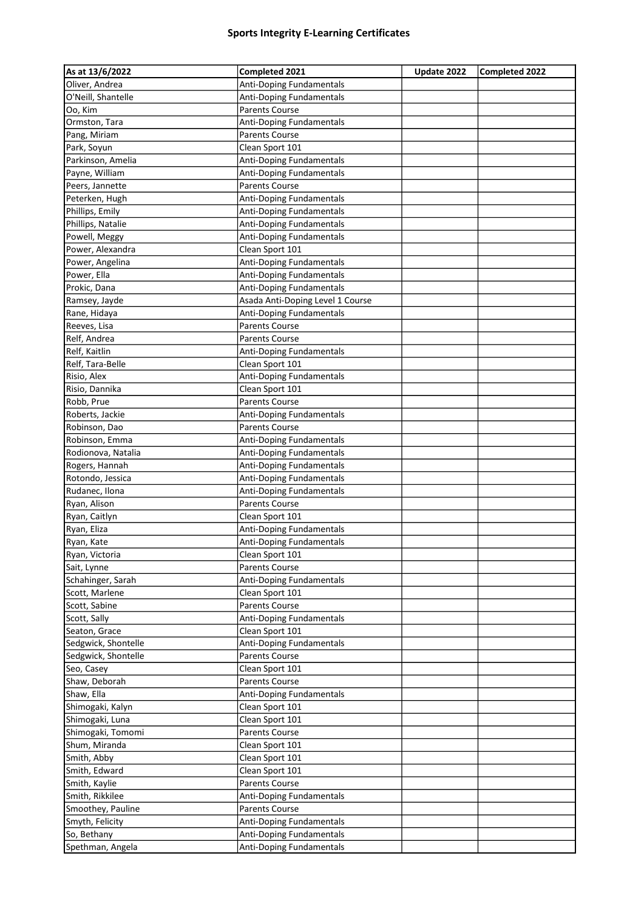| As at 13/6/2022     | Completed 2021                   | Update 2022 | <b>Completed 2022</b> |
|---------------------|----------------------------------|-------------|-----------------------|
| Oliver, Andrea      | Anti-Doping Fundamentals         |             |                       |
| O'Neill, Shantelle  | <b>Anti-Doping Fundamentals</b>  |             |                       |
| Oo, Kim             | <b>Parents Course</b>            |             |                       |
| Ormston, Tara       | Anti-Doping Fundamentals         |             |                       |
| Pang, Miriam        | Parents Course                   |             |                       |
| Park, Soyun         | Clean Sport 101                  |             |                       |
| Parkinson, Amelia   | Anti-Doping Fundamentals         |             |                       |
| Payne, William      | <b>Anti-Doping Fundamentals</b>  |             |                       |
| Peers, Jannette     | Parents Course                   |             |                       |
| Peterken, Hugh      | Anti-Doping Fundamentals         |             |                       |
| Phillips, Emily     | Anti-Doping Fundamentals         |             |                       |
| Phillips, Natalie   | Anti-Doping Fundamentals         |             |                       |
| Powell, Meggy       | Anti-Doping Fundamentals         |             |                       |
| Power, Alexandra    | Clean Sport 101                  |             |                       |
| Power, Angelina     | Anti-Doping Fundamentals         |             |                       |
| Power, Ella         | Anti-Doping Fundamentals         |             |                       |
| Prokic, Dana        | Anti-Doping Fundamentals         |             |                       |
| Ramsey, Jayde       | Asada Anti-Doping Level 1 Course |             |                       |
| Rane, Hidaya        | Anti-Doping Fundamentals         |             |                       |
| Reeves, Lisa        | <b>Parents Course</b>            |             |                       |
| Relf, Andrea        | <b>Parents Course</b>            |             |                       |
| Relf, Kaitlin       | Anti-Doping Fundamentals         |             |                       |
| Relf, Tara-Belle    | Clean Sport 101                  |             |                       |
| Risio, Alex         | Anti-Doping Fundamentals         |             |                       |
| Risio, Dannika      | Clean Sport 101                  |             |                       |
| Robb, Prue          | <b>Parents Course</b>            |             |                       |
| Roberts, Jackie     | Anti-Doping Fundamentals         |             |                       |
| Robinson, Dao       | <b>Parents Course</b>            |             |                       |
| Robinson, Emma      | Anti-Doping Fundamentals         |             |                       |
| Rodionova, Natalia  | Anti-Doping Fundamentals         |             |                       |
| Rogers, Hannah      | Anti-Doping Fundamentals         |             |                       |
| Rotondo, Jessica    | Anti-Doping Fundamentals         |             |                       |
| Rudanec, Ilona      | Anti-Doping Fundamentals         |             |                       |
| Ryan, Alison        | <b>Parents Course</b>            |             |                       |
| Ryan, Caitlyn       | Clean Sport 101                  |             |                       |
| Ryan, Eliza         | Anti-Doping Fundamentals         |             |                       |
| Ryan, Kate          | <b>Anti-Doping Fundamentals</b>  |             |                       |
| Ryan, Victoria      | Clean Sport 101                  |             |                       |
| Sait, Lynne         | <b>Parents Course</b>            |             |                       |
| Schahinger, Sarah   | Anti-Doping Fundamentals         |             |                       |
| Scott, Marlene      | Clean Sport 101                  |             |                       |
| Scott, Sabine       | <b>Parents Course</b>            |             |                       |
| Scott, Sally        | Anti-Doping Fundamentals         |             |                       |
| Seaton, Grace       | Clean Sport 101                  |             |                       |
| Sedgwick, Shontelle | Anti-Doping Fundamentals         |             |                       |
| Sedgwick, Shontelle | Parents Course                   |             |                       |
| Seo, Casey          | Clean Sport 101                  |             |                       |
| Shaw, Deborah       | <b>Parents Course</b>            |             |                       |
| Shaw, Ella          | Anti-Doping Fundamentals         |             |                       |
| Shimogaki, Kalyn    | Clean Sport 101                  |             |                       |
| Shimogaki, Luna     | Clean Sport 101                  |             |                       |
| Shimogaki, Tomomi   | Parents Course                   |             |                       |
| Shum, Miranda       | Clean Sport 101                  |             |                       |
| Smith, Abby         | Clean Sport 101                  |             |                       |
| Smith, Edward       | Clean Sport 101                  |             |                       |
| Smith, Kaylie       | Parents Course                   |             |                       |
| Smith, Rikkilee     | Anti-Doping Fundamentals         |             |                       |
| Smoothey, Pauline   | Parents Course                   |             |                       |
| Smyth, Felicity     | Anti-Doping Fundamentals         |             |                       |
| So, Bethany         | Anti-Doping Fundamentals         |             |                       |
| Spethman, Angela    | Anti-Doping Fundamentals         |             |                       |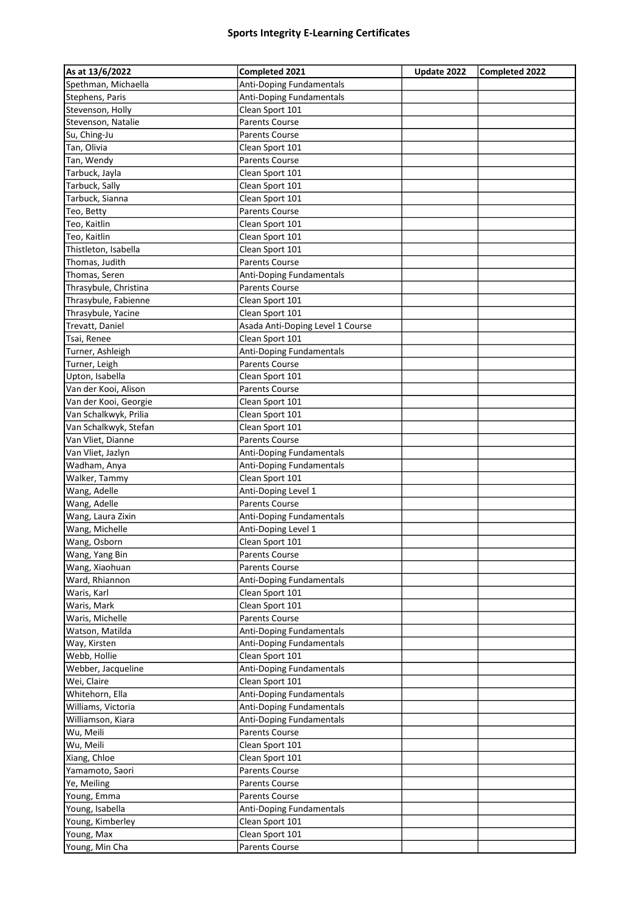| As at 13/6/2022              | Completed 2021                   | Update 2022 | Completed 2022 |
|------------------------------|----------------------------------|-------------|----------------|
| Spethman, Michaella          | Anti-Doping Fundamentals         |             |                |
| Stephens, Paris              | Anti-Doping Fundamentals         |             |                |
| Stevenson, Holly             | Clean Sport 101                  |             |                |
| Stevenson, Natalie           | <b>Parents Course</b>            |             |                |
| Su, Ching-Ju                 | Parents Course                   |             |                |
| Tan, Olivia                  | Clean Sport 101                  |             |                |
| Tan, Wendy                   | <b>Parents Course</b>            |             |                |
| Tarbuck, Jayla               | Clean Sport 101                  |             |                |
| Tarbuck, Sally               | Clean Sport 101                  |             |                |
| Tarbuck, Sianna              | Clean Sport 101                  |             |                |
| Teo, Betty                   | Parents Course                   |             |                |
| Teo, Kaitlin                 | Clean Sport 101                  |             |                |
| Teo, Kaitlin                 | Clean Sport 101                  |             |                |
| Thistleton, Isabella         | Clean Sport 101                  |             |                |
| Thomas, Judith               | <b>Parents Course</b>            |             |                |
| Thomas, Seren                | <b>Anti-Doping Fundamentals</b>  |             |                |
| Thrasybule, Christina        | <b>Parents Course</b>            |             |                |
| Thrasybule, Fabienne         | Clean Sport 101                  |             |                |
| Thrasybule, Yacine           | Clean Sport 101                  |             |                |
| Trevatt, Daniel              | Asada Anti-Doping Level 1 Course |             |                |
| Tsai, Renee                  | Clean Sport 101                  |             |                |
| Turner, Ashleigh             | Anti-Doping Fundamentals         |             |                |
| Turner, Leigh                | <b>Parents Course</b>            |             |                |
| Upton, Isabella              | Clean Sport 101                  |             |                |
| Van der Kooi, Alison         | <b>Parents Course</b>            |             |                |
| Van der Kooi, Georgie        | Clean Sport 101                  |             |                |
| Van Schalkwyk, Prilia        | Clean Sport 101                  |             |                |
| Van Schalkwyk, Stefan        | Clean Sport 101                  |             |                |
| Van Vliet, Dianne            | <b>Parents Course</b>            |             |                |
| Van Vliet, Jazlyn            | Anti-Doping Fundamentals         |             |                |
| Wadham, Anya                 | Anti-Doping Fundamentals         |             |                |
| Walker, Tammy                | Clean Sport 101                  |             |                |
| Wang, Adelle                 | Anti-Doping Level 1              |             |                |
| Wang, Adelle                 | <b>Parents Course</b>            |             |                |
| Wang, Laura Zixin            | Anti-Doping Fundamentals         |             |                |
| Wang, Michelle               | Anti-Doping Level 1              |             |                |
| Wang, Osborn                 | Clean Sport 101                  |             |                |
| Wang, Yang Bin               | Parents Course                   |             |                |
| Wang, Xiaohuan               | <b>Parents Course</b>            |             |                |
| Ward, Rhiannon               | Anti-Doping Fundamentals         |             |                |
| Waris, Karl                  | Clean Sport 101                  |             |                |
| Waris, Mark                  | Clean Sport 101                  |             |                |
| Waris, Michelle              | Parents Course                   |             |                |
| Watson, Matilda              | Anti-Doping Fundamentals         |             |                |
| Way, Kirsten                 | Anti-Doping Fundamentals         |             |                |
| Webb, Hollie                 | Clean Sport 101                  |             |                |
| Webber, Jacqueline           | Anti-Doping Fundamentals         |             |                |
| Wei, Claire                  | Clean Sport 101                  |             |                |
| Whitehorn, Ella              | Anti-Doping Fundamentals         |             |                |
| Williams, Victoria           | <b>Anti-Doping Fundamentals</b>  |             |                |
| Williamson, Kiara            | Anti-Doping Fundamentals         |             |                |
| Wu, Meili                    | Parents Course                   |             |                |
| Wu, Meili                    | Clean Sport 101                  |             |                |
| Xiang, Chloe                 | Clean Sport 101                  |             |                |
| Yamamoto, Saori              | Parents Course                   |             |                |
| Ye, Meiling                  | Parents Course                   |             |                |
| Young, Emma                  | Parents Course                   |             |                |
| Young, Isabella              | Anti-Doping Fundamentals         |             |                |
| Young, Kimberley             | Clean Sport 101                  |             |                |
|                              | Clean Sport 101                  |             |                |
| Young, Max<br>Young, Min Cha | Parents Course                   |             |                |
|                              |                                  |             |                |